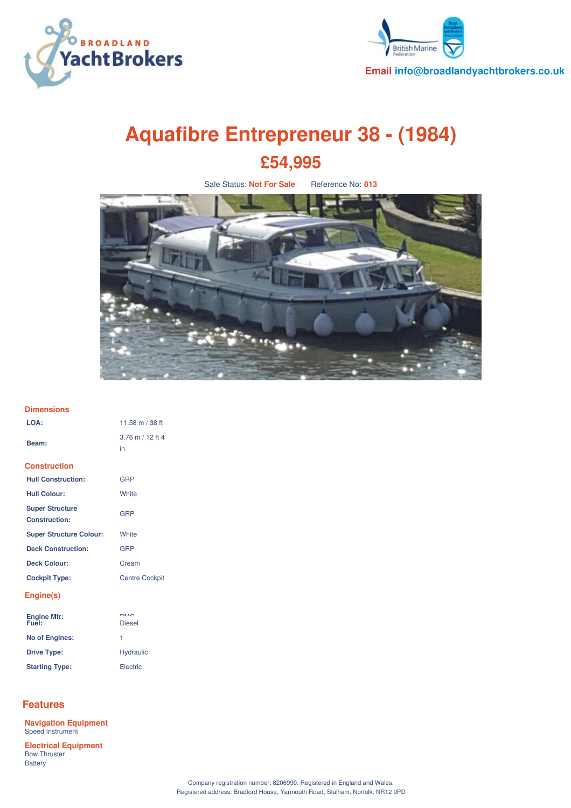



**Email info@broadlandyachtbrokers.co.uk**

# **Aquafibre Entrepreneur 38 - (1984) £54,995**

Sale Status: **Not For Sale** Reference No: **813**



## **Dimensions**

| LOA:                                           | 11.58 m / 38 ft          |
|------------------------------------------------|--------------------------|
| Beam:                                          | $3.76$ m / 12 ft 4<br>in |
| <b>Construction</b>                            |                          |
| <b>Hull Construction:</b>                      | GRP                      |
| <b>Hull Colour:</b>                            | White                    |
| <b>Super Structure</b><br><b>Construction:</b> | GRP                      |
| <b>Super Structure Colour:</b>                 | White                    |
| <b>Deck Construction:</b>                      | GRP                      |
| <b>Deck Colour:</b>                            | Cream                    |
| <b>Cockpit Type:</b>                           | <b>Centre Cockpit</b>    |
| Engine(s)                                      |                          |
| Engine Mfr:<br>Fuel:                           | DMO<br><b>Diesel</b>     |
| <b>No of Engines:</b>                          | 1                        |
| <b>Drive Type:</b>                             | <b>Hydraulic</b>         |
| <b>Starting Type:</b>                          | Electric                 |

# **Features**

Battery

**Navigation Equipment** Speed Instrument **Electrical Equipment** Bow Thruster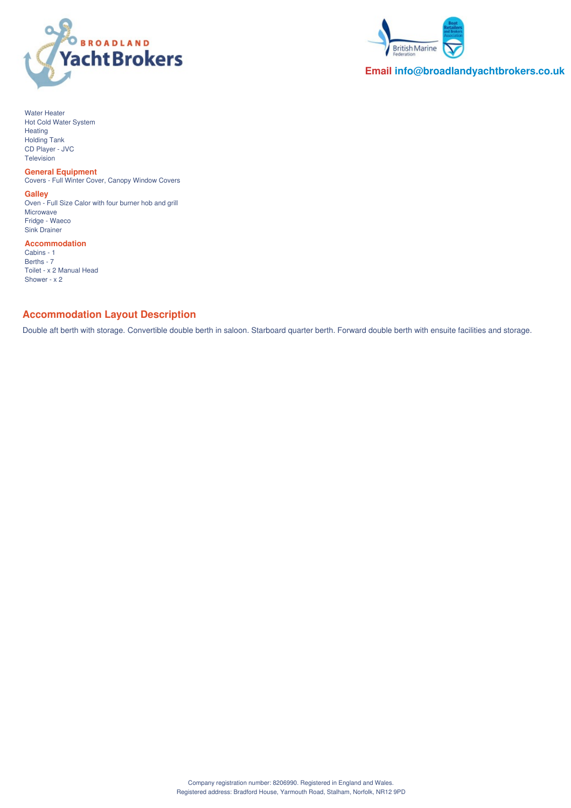



## **Email info@broadlandyachtbrokers.co.uk**

Water Heater Hot Cold Water System Heating Holding Tank CD Player - JVC Television

#### **General Equipment**

Covers - Full Winter Cover, Canopy Window Covers

**Galley**

Oven - Full Size Calor with four burner hob and grill Microwave Fridge - Waeco Sink Drainer

**Accommodation** Cabins - 1 Berths - 7 Toilet - x 2 Manual Head Shower - x 2

## **Accommodation Layout Description**

Double aft berth with storage. Convertible double berth in saloon. Starboard quarter berth. Forward double berth with ensuite facilities and storage.